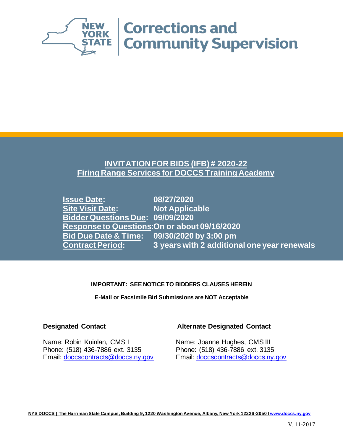

# **INVITATION FOR BIDS (IFB) # 2020-22 Firing Range Services for DOCCS Training Academy**

**Issue Date: 08/27/2020 Site Visit Date: Bidder Questions Due: 09/09/2020 Response to Questions:On or about 09/16/2020 Bid Due Date & Time: 09/30/2020 by 3:00 pm Contract Period: 3 years with 2 additional one year renewals**

### **IMPORTANT: SEE NOTICE TO BIDDERS CLAUSES HEREIN**

**E-Mail or Facsimile Bid Submissions are NOT Acceptable**

Name: Robin Kuinlan, CMS I Name: Joanne Hughes, CMS III Phone: (518) 436-7886 ext. 3135 Phone: (518) 436-7886 ext. 3135 Email: [doccscontracts@doccs.ny.gov](mailto:doccscontracts@doccs.ny.gov) Email: [doccscontracts@doccs.ny.gov](mailto:doccscontracts@doccs.ny.gov)

## **Designated Contact Alternate Designated Contact**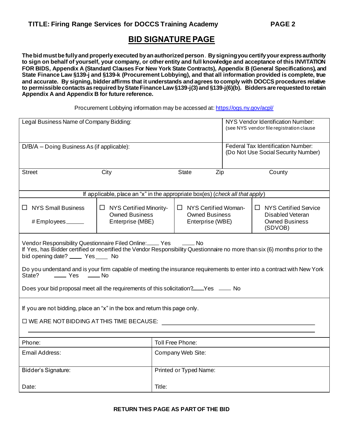# **BID SIGNATURE PAGE**

**The bid must be fully and properly executed by an authorized person**. **By signing you certify your express authority to sign on behalf of yourself, your company, or other entity and full knowledge and acceptance of this INVITATION FOR BIDS, Appendix A (Standard Clauses For New York State Contracts), Appendix B (General Specifications), and State Finance Law §139-j and §139-k (Procurement Lobbying), and that all information provided is complete, true and accurate. By signing, bidder affirms that it understands and agrees to comply with DOCCS procedures relative to permissible contacts as required by State Finance Law §139-j(3) and §139-j(6)(b). Bidders are requested to retain Appendix A and Appendix B for future reference.**

Procurement Lobbying information may be accessed at: <https://ogs.ny.gov/acpl/>

| Legal Business Name of Company Bidding:                                                                                                                                                                                                                                                                                                                                                                                                                                                                            |                                                                               | NYS Vendor Identification Number:<br>(see NYS vendor file registration clause    |                                                                          |     |  |                                                                                             |
|--------------------------------------------------------------------------------------------------------------------------------------------------------------------------------------------------------------------------------------------------------------------------------------------------------------------------------------------------------------------------------------------------------------------------------------------------------------------------------------------------------------------|-------------------------------------------------------------------------------|----------------------------------------------------------------------------------|--------------------------------------------------------------------------|-----|--|---------------------------------------------------------------------------------------------|
| D/B/A - Doing Business As (if applicable):                                                                                                                                                                                                                                                                                                                                                                                                                                                                         |                                                                               | <b>Federal Tax Identification Number:</b><br>(Do Not Use Social Security Number) |                                                                          |     |  |                                                                                             |
| <b>Street</b>                                                                                                                                                                                                                                                                                                                                                                                                                                                                                                      | City                                                                          |                                                                                  | <b>State</b>                                                             | Zip |  | County                                                                                      |
|                                                                                                                                                                                                                                                                                                                                                                                                                                                                                                                    | If applicable, place an "x" in the appropriate box(es) (check all that apply) |                                                                                  |                                                                          |     |  |                                                                                             |
| $\Box$ NYS Small Business<br># Employees ______                                                                                                                                                                                                                                                                                                                                                                                                                                                                    | $\Box$ NYS Certified Minority-<br><b>Owned Business</b><br>Enterprise (MBE)   |                                                                                  | $\Box$ NYS Certified Woman-<br><b>Owned Business</b><br>Enterprise (WBE) |     |  | $\Box$ NYS Certified Service<br><b>Disabled Veteran</b><br><b>Owned Business</b><br>(SDVOB) |
| Vendor Responsibility Questionnaire Filed Online: Ves<br>$\frac{1}{\sqrt{1-\frac{1}{2}}}$ No<br>If Yes, has Bidder certified or recertified the Vendor Responsibility Questionnaire no more than six (6) months prior to the<br>bid opening date? ______ Yes _____ No<br>Do you understand and is your firm capable of meeting the insurance requirements to enter into a contract with New York<br>—— Yes —— No<br>State?<br>Does your bid proposal meet all the requirements of this solicitation?___Yes ____ No |                                                                               |                                                                                  |                                                                          |     |  |                                                                                             |
| If you are not bidding, place an "x" in the box and return this page only.<br>□ WE ARE NOT BIDDING AT THIS TIME BECAUSE:                                                                                                                                                                                                                                                                                                                                                                                           |                                                                               |                                                                                  |                                                                          |     |  |                                                                                             |
| Toll Free Phone:<br>Phone:                                                                                                                                                                                                                                                                                                                                                                                                                                                                                         |                                                                               |                                                                                  |                                                                          |     |  |                                                                                             |
| Email Address:                                                                                                                                                                                                                                                                                                                                                                                                                                                                                                     |                                                                               | Company Web Site:                                                                |                                                                          |     |  |                                                                                             |
| Bidder's Signature:                                                                                                                                                                                                                                                                                                                                                                                                                                                                                                |                                                                               | Printed or Typed Name:                                                           |                                                                          |     |  |                                                                                             |
| Date:                                                                                                                                                                                                                                                                                                                                                                                                                                                                                                              |                                                                               | Title:                                                                           |                                                                          |     |  |                                                                                             |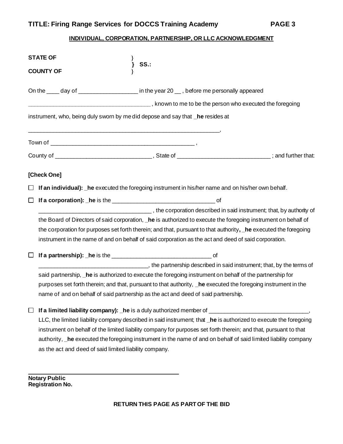## **INDIVIDUAL, CORPORATION, PARTNERSHIP, OR LLC ACKNOWLEDGMENT**

|        | <b>STATE OF</b><br>SS.<br><b>COUNTY OF</b>                                                                       |
|--------|------------------------------------------------------------------------------------------------------------------|
|        | On the ____ day of _____________________ in the year 20 ___, before me personally appeared                       |
|        | The same state of the person who executed the foregoing state and the security of the foregoing                  |
|        | instrument, who, being duly sworn by me did depose and say that _he resides at                                   |
|        |                                                                                                                  |
|        |                                                                                                                  |
|        | [Check One]                                                                                                      |
|        | If an individual): he executed the foregoing instrument in his/her name and on his/her own behalf.               |
|        |                                                                                                                  |
|        | the corporation described in said instrument; that, by authority of                                              |
|        | the Board of Directors of said corporation, _he is authorized to execute the foregoing instrument on behalf of   |
|        | the corporation for purposes set forth therein; and that, pursuant to that authority, he executed the foregoing  |
|        | instrument in the name of and on behalf of said corporation as the act and deed of said corporation.             |
|        |                                                                                                                  |
|        | the partnership described in said instrument; that, by the terms of                                              |
|        | said partnership, he is authorized to execute the foregoing instrument on behalf of the partnership for          |
|        | purposes set forth therein; and that, pursuant to that authority, _he executed the foregoing instrument in the   |
|        | name of and on behalf of said partnership as the act and deed of said partnership.                               |
| $\Box$ | If a limited liability company): he is a duly authorized member of                                               |
|        | LLC, the limited liability company described in said instrument; that _he is authorized to execute the foregoing |
|        | instrument on behalf of the limited liability company for purposes set forth therein; and that, pursuant to that |
|        | authority, _he executed the foregoing instrument in the name of and on behalf of said limited liability company  |
|        | as the act and deed of said limited liability company.                                                           |

**Notary Public Registration No.**

 $\mathcal{L}_\text{max}$  and  $\mathcal{L}_\text{max}$  and  $\mathcal{L}_\text{max}$  and  $\mathcal{L}_\text{max}$  and  $\mathcal{L}_\text{max}$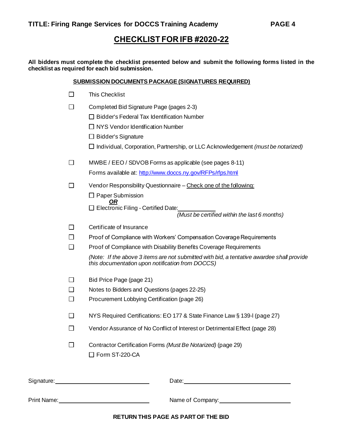# **CHECKLIST FOR IFB #2020-22**

**All bidders must complete the checklist presented below and submit the following forms listed in the checklist as required for each bid submission.**

#### **SUBMISSION DOCUMENTS PACKAGE (SIGNATURES REQUIRED)**

| П              | <b>This Checklist</b>                                                                                                                                                                                                                |
|----------------|--------------------------------------------------------------------------------------------------------------------------------------------------------------------------------------------------------------------------------------|
| $\Box$         | Completed Bid Signature Page (pages 2-3)                                                                                                                                                                                             |
|                | $\Box$ Bidder's Federal Tax Identification Number                                                                                                                                                                                    |
|                | $\Box$ NYS Vendor Identification Number                                                                                                                                                                                              |
|                | $\Box$ Bidder's Signature                                                                                                                                                                                                            |
|                | $\Box$ Individual, Corporation, Partnership, or LLC Acknowledgement (must be notarized)                                                                                                                                              |
| $\Box$         | MWBE / EEO / SDVOB Forms as applicable (see pages 8-11)                                                                                                                                                                              |
|                | Forms available at: http://www.doccs.ny.gov/RFPs/rfps.html                                                                                                                                                                           |
| □              | Vendor Responsibility Questionnaire - Check one of the following:                                                                                                                                                                    |
|                | $\Box$ Paper Submission                                                                                                                                                                                                              |
|                | □ Electronic Filing - Certified Date:                                                                                                                                                                                                |
|                | (Must be certified within the last 6 months)                                                                                                                                                                                         |
| l 1            | Certificate of Insurance                                                                                                                                                                                                             |
| П              | Proof of Compliance with Workers' Compensation Coverage Requirements                                                                                                                                                                 |
| □              | Proof of Compliance with Disability Benefits Coverage Requirements                                                                                                                                                                   |
|                | (Note: If the above 3 items are not submitted with bid, a tentative awardee shall provide<br>this documentation upon notification from DOCCS)                                                                                        |
| $\Box$         | Bid Price Page (page 21)                                                                                                                                                                                                             |
| П              | Notes to Bidders and Questions (pages 22-25)                                                                                                                                                                                         |
| □              | Procurement Lobbying Certification (page 26)                                                                                                                                                                                         |
| $\perp$        | NYS Required Certifications: EO 177 & State Finance Law § 139-I (page 27)                                                                                                                                                            |
| $\blacksquare$ | Vendor Assurance of No Conflict of Interest or Detrimental Effect (page 28)                                                                                                                                                          |
| □              | Contractor Certification Forms (Must Be Notarized) (page 29)<br>□ Form ST-220-CA                                                                                                                                                     |
|                | Date: <u>New York: New York: New York: New York: New York: New York: New York: New York: New York: New York: New York: New York: New York: New York: New York: New York: New York: New York: New York: New York: New York: New Y</u> |
|                |                                                                                                                                                                                                                                      |

**RETURN THIS PAGE AS PART OF THE BID**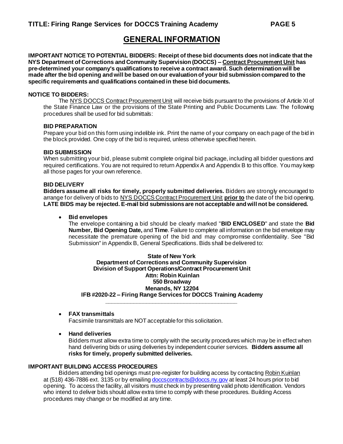# **GENERAL INFORMATION**

**IMPORTANT NOTICE TO POTENTIAL BIDDERS: Receipt of these bid documents does not indicate that the NYS Department of Corrections and Community Supervision (DOCCS) – Contract Procurement Unit has pre-determined your company's qualifications to receive a contract award. Such determination will be made after the bid opening and will be based on our evaluation of your bid submission compared to the specific requirements and qualifications contained in these bid documents.**

#### **NOTICE TO BIDDERS:**

The NYS DOCCS Contract Procurement Unit will receive bids pursuant to the provisions of Article XI of the State Finance Law or the provisions of the State Printing and Public Documents Law. The following procedures shall be used for bid submittals:

#### **BID PREPARATION**

Prepare your bid on this form using indelible ink. Print the name of your company on each page of the bid in the block provided. One copy of the bid is required, unless otherwise specified herein.

#### **BID SUBMISSION**

When submitting your bid, please submit complete original bid package, including all bidder questions and required certifications. You are not required to return Appendix A and Appendix B to this office. You may keep all those pages for your own reference.

#### **BID DELIVERY**

**Bidders assume all risks for timely, properly submitted deliveries.** Bidders are strongly encouraged to arrange for delivery of bids to NYS DOCCS Contract Procurement Unit **prior to** the date of the bid opening. **LATE BIDS may be rejected. E-mail bid submissions are not acceptable and will not be considered.**

#### • **Bid envelopes**

The envelope containing a bid should be clearly marked "**BID ENCLOSED**" and state the **Bid Number, Bid Opening Date,** and **Time**. Failure to complete all information on the bid envelope may necessitate the premature opening of the bid and may compromise confidentiality. See "Bid Submission" in Appendix B, General Specifications. Bids shall be delivered to:

**State of New York Department of Corrections and Community Supervision Division of Support Operations/Contract Procurement Unit Attn: Robin Kuinlan 550 Broadway Menands, NY 12204 IFB #2020-22 – Firing Range Services for DOCCS Training Academy \_\_\_\_\_\_\_\_\_\_\_\_\_\_\_\_\_\_\_\_\_\_\_\_\_\_\_\_\_\_\_\_\_\_\_\_\_\_\_\_\_\_**

#### • **FAX transmittals**

Facsimile transmittals are NOT acceptable for this solicitation.

• **Hand deliveries** 

Bidders must allow extra time to comply with the security procedures which may be in effect when hand delivering bids or using deliveries by independent courier services. **Bidders assume all risks for timely, properly submitted deliveries.** 

#### **IMPORTANT BUILDING ACCESS PROCEDURES**

Bidders attending bid openings must pre-register for building access by contacting Robin Kuinlan at (518) 436-7886 ext. 3135 or by emailing doccs contracts@doccs.ny.gov at least 24 hours prior to bid opening. To access the facility, all visitors must check in by presenting valid photo identification. Vendors who intend to deliver bids should allow extra time to comply with these procedures. Building Access procedures may change or be modified at any time.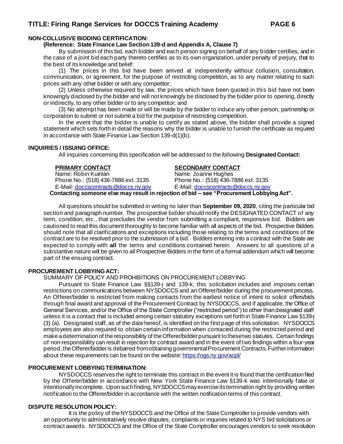#### **NON-COLLUSIVE BIDDING CERTIFICATION:**

**(Reference: State Finance Law Section 139-d and Appendix A, Clause 7)**

By submission of this bid, each bidder and each person signing on behalf of any bidder certifies, and in the case of a joint bid each party thereto certifies as to its own organization, under penalty of perjury, that to the best of its knowledge and belief:

(1) The prices in this bid have been arrived at independently without collusion, consultation, communication, or agreement, for the purpose of restricting competition, as to any matter relating to such prices with any other bidder or with any competitor;

(2) Unless otherwise required by law, the prices which have been quoted in this bid have not been knowingly disclosed by the bidder and will not knowingly be disclosed by the bidder prior to opening, directly or indirectly, to any other bidder or to any competitor; and

(3) No attempt has been made or will be made by the bidder to induce any other person, partnership or corporation to submit or not submit a bid for the purpose of restricting competition.

In the event that the bidder is unable to certify as stated above, the bidder shall provide a signed statement which sets forth in detail the reasons why the bidder is unable to furnish the certificate as required in accordance with State Finance Law Section 139-d(1)(b).

#### **INQUIRIES / ISSUING OFFICE:**

All inquiries concerning this specification will be addressed to the following **Designated Contact:**

Phone No.: (518) 436-7886 ext. 3135 E-Mail: [doccscontracts@doccs.ny.gov](mailto:doccscontracts@doccs.ny.gov) E-Mail: [doccscontracts@doccs.ny.gov](mailto:doccscontracts@doccs.ny.gov)

#### **PRIMARY CONTACT SECONDARY CONTACT**

Name: Robin Kuinlan Name: Joanne Hughes<br>Phone No.: (518) 436-7886 ext. 3135 Phone No.: (518) 436-7886 ext. 3135

**Contacting someone else may result in rejection of bid – see "Procurement Lobbying Act".**

All questions should be submitted in writing no later than **September 09, 2020**, citing the particular bid section and paragraph number. The prospective bidder should notify the DESIGNATED CONTACT of any term, condition, etc., that precludes the vendor from submitting a compliant, responsive bid. Bidders are cautioned to read this document thoroughly to become familiar with all aspects of the bid. Prospective Bidders should note that all clarifications and exceptions including those relating to the terms and conditions of the contract are to be resolved prior to the submission of a bid. Bidders entering into a contract with the State are expected to comply with **all** the terms and conditions contained herein. Answers to all questions of a substantive nature will be given to all Prospective Bidders in the form of a formal addendum which will become part of the ensuing contract.

#### **PROCUREMENT LOBBYING ACT:**

SUMMARY OF POLICY AND PROHIBITIONS ON PROCUREMENT LOBBYING

Pursuant to State Finance Law §§139-j and 139-k, this solicitation includes and imposes certain restrictions on communications between NYSDOCCS and an Offerer/bidder during the procurement process. An Offerer/bidder is restricted from making contacts from the earliest notice of intent to solicit offers/bids through final award and approval of the Procurement Contract by NYSDOCCS, and if applicable, the Office of General Services, and/or the Office of the State Comptroller ("restricted period") to other than designated staff unless it is a contact that is included among certain statutory exceptions set forth in State Finance Law §139-j (3) (a). Designated staff, as of the date hereof, is identified on the first page of this solicitation. NYSDOCCS employees are also required to obtain certain information when contacted during the restricted period and make a determination of the responsibility of the Offerer/bidder pursuant to these two statutes. Certain findings of non-responsibility can result in rejection for contract award and in the event of two findings within a four-year period, the Offerer/bidder is debarred from obtaining governmental Procurement Contracts. Further information about these requirements can be found on the website: <https://ogs.ny.gov/acpl/>

#### **PROCUREMENT LOBBYING TERMINATION:**

NYSDOCCS reserves the right to terminate this contract in the event it is found that the certification filed by the Offerer/bidder in accordance with New York State Finance Law §139-k was intentionally false or intentionally incomplete. Upon such finding, NYSDOCCS may exercise its termination right by providing written notification to the Offerer/bidder in accordance with the written notification terms of this contract.

#### **DISPUTE RESOLUTION POLICY:**

It is the policy of the NYSDOCCS and the Office of the State Comptroller to provide vendors with an opportunity to administratively resolve disputes, complaints or inquiries related to NYS bid solicitations or contract awards. NYSDOCCS and the Office of the State Comptroller encourages vendors to seek resolution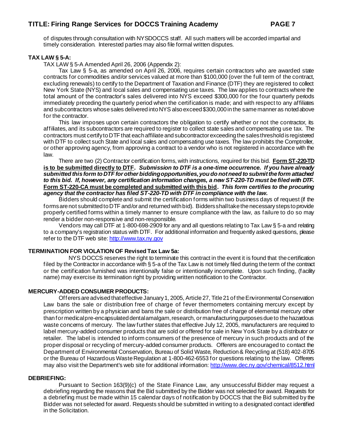of disputes through consultation with NYSDOCCS staff. All such matters will be accorded impartial and timely consideration. Interested parties may also file formal written disputes.

#### **TAX LAW § 5-A:**

TAX LAW § 5-A Amended April 26, 2006 (Appendix 2):

Tax Law § 5-a, as amended on April 26, 2006, requires certain contractors who are awarded state contracts for commodities and/or services valued at more than \$100,000 (over the full term of the contract, excluding renewals) to certify to the Department of Taxation and Finance (DTF) they are registered to collect New York State (NYS) and local sales and compensating use taxes. The law applies to contracts where the total amount of the contractor's sales delivered into NYS exceed \$300,000 for the four quarterly periods immediately preceding the quarterly period when the certification is made; and with respect to any affiliates and subcontractors whose sales delivered into NYS also exceed \$300,000 in the same manner as noted above for the contractor.

This law imposes upon certain contractors the obligation to certify whether or not the contractor, its affiliates, and its subcontractors are required to register to collect state sales and compensating use tax. The contractors must certify to DTF that each affiliate and subcontractor exceeding the sales threshold is registered with DTF to collect such State and local sales and compensating use taxes. The law prohibits the Comptroller, or other approving agency, from approving a contract to a vendor who is not registered in accordance with the law.

There are two (2) Contractor certification forms, with instructions, required for this bid. **Form ST-220-TD is to be submitted directly to DTF.** *Submission to DTF is a one-time occurrence. If you have already submitted this form to DTF for other bidding opportunities, you do not need to submit the form attached to this bid. If, however, any certification information changes, a new ST-220-TD must be filed with DTF.* **Form ST-220-CA must be completed and submitted with this bid.** *This form certifies to the procuring agency that the contractor has filed ST-220-TD with DTF in compliance with the law.*

Bidders should complete and submit the certification forms within two business days of request (if the forms are not submitted to DTF and/or and returned with bid). Bidders shall take the necessary steps to provide properly certified forms within a timely manner to ensure compliance with the law, as failure to do so may render a bidder non-responsive and non-responsible.

Vendors may call DTF at 1-800-698-2909 for any and all questions relating to Tax Law § 5-a and relating to a company's registration status with DTF. For additional information and frequently asked questions, please refer to the DTF web site[: http://www.tax.ny.gov](http://www.tax.ny.gov/)

#### **TERMINATION FOR VIOLATION OF Revised Tax Law 5a:**

NYS DOCCS reserves the right to terminate this contract in the event it is found that the certification filed by the Contractor in accordance with § 5-a of the Tax Law is not timely filed during the term of the contract or the certification furnished was intentionally false or intentionally incomplete. Upon such finding*,* (facility name) may exercise its termination right by providing written notification to the Contractor.

#### **MERCURY-ADDED CONSUMER PRODUCTS:**

Offerers are advised that effective January 1, 2005, Article 27, Title 21 of the Environmental Conservation Law bans the sale or distribution free of charge of fever thermometers containing mercury except by prescription written by a physician and bans the sale or distribution free of charge of elemental mercury other than for medical pre-encapsulated dental amalgam, research, or manufacturing purposes due to the hazardous waste concerns of mercury. The law further states that effective July 12, 2005, manufacturers are required to label mercury-added consumer products that are sold or offered for sale in New York State by a distributor or retailer. The label is intended to inform consumers of the presence of mercury in such products and of the proper disposal or recycling of mercury-added consumer products. Offerers are encouraged to contact the Department of Environmental Conservation, Bureau of Solid Waste, Reduction & Recycling at (518) 402-8705 or the Bureau of Hazardous Waste Regulation at 1-800-462-6553 for questions relating to the law. Offerers may also visit the Department's web site for additional information[: http://www.dec.ny.gov/chemical/8512.html](http://www.dec.ny.gov/chemical/8512.html)

#### **DEBRIEFING:**

Pursuant to Section 163(9)(c) of the State Finance Law, any unsuccessful Bidder may request a debriefing regarding the reasons that the Bid submitted by the Bidder was not selected for award. Requests for a debriefing must be made within 15 calendar days of notification by DOCCS that the Bid submitted by the Bidder was not selected for award. Requests should be submitted in writing to a designated contact identified in the Solicitation.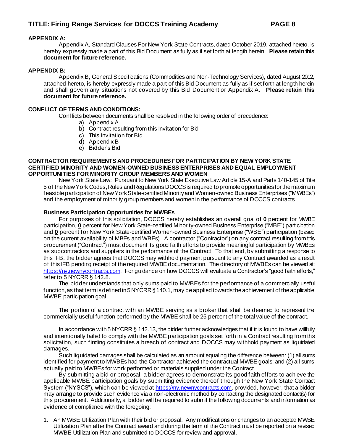#### **APPENDIX A:**

Appendix A, Standard Clauses For New York State Contracts, dated October 2019, attached hereto, is hereby expressly made a part of this Bid Document as fully as if set forth at length herein. **Please retain this document for future reference.**

#### **APPENDIX B:**

Appendix B, General Specifications (Commodities and Non-Technology Services), dated August 2012, attached hereto, is hereby expressly made a part of this Bid Document as fully as if set forth at length herein and shall govern any situations not covered by this Bid Document or Appendix A. **Please retain this document for future reference.**

#### **CONFLICT OF TERMS AND CONDITIONS:**

Conflicts between documents shall be resolved in the following order of precedence:

- a) Appendix A
- b) Contract resulting from this Invitation for Bid
- c) This Invitation for Bid
- d) Appendix B
- e) Bidder's Bid

#### **CONTRACTOR REQUIREMENTS AND PROCEDURES FOR PARTICIPATION BY NEW YORK STATE CERTIFIED MINORITY AND WOMEN-OWNED BUSINESS ENTERPRISES AND EQUAL EMPLOYMENT OPPORTUNITIES FOR MINORITY GROUP MEMBERS AND WOMEN**

New York State Law:Pursuant to New York State Executive Law Article 15-A and Parts 140-145 of Title 5 of the New York Codes, Rules and Regulations DOCCS is required to promote opportunities for the maximum feasible participation of New York State-certified Minority and Women-owned Business Enterprises ("MWBEs") and the employment of minority group members and women in the performance of DOCCS contracts.

#### **Business Participation Opportunities for MWBEs**

For purposes of this solicitation, DOCCS hereby establishes an overall goal of **0** percent for MWBE participation, **0** percent for New York State-certified Minority-owned Business Enterprise ("MBE") participation and **0** percent for New York State-certified Women-owned Business Enterprise ("WBE") participation (based on the current availability of MBEs and WBEs). A contractor ("Contractor") on any contract resulting from this procurement ("Contract") must document its good faith efforts to provide meaningful participation by MWBEs as subcontractors and suppliers in the performance of the Contract. To that end, by submitting a response to this IFB, the bidder agrees that DOCCS may withhold payment pursuant to any Contract awarded as a result of this IFB pending receipt of the required MWBE documentation. The directory of MWBEs can be viewed at: [https://ny.newnycontracts.com](https://ny.newnycontracts.com/). For guidance on how DOCCS will evaluate a Contractor's "good faith efforts," refer to 5 NYCRR § 142.8.

The bidder understands that only sums paid to MWBEs for the performance of a commercially useful function, as that term is defined in 5 NYCRR § 140.1, may be applied towards the achievement of the applicable MWBE participation goal.

The portion of a contract with an MWBE serving as a broker that shall be deemed to represent the commercially useful function performed by the MWBE shall be 25 percent of the total value of the contract.

In accordance with 5 NYCRR § 142.13, the bidder further acknowledges that if it is found to have willfully and intentionally failed to comply with the MWBE participation goals set forth in a Contract resulting from this solicitation, such finding constitutes a breach of contract and DOCCS may withhold payment as liquidated damages.

Such liquidated damages shall be calculated as an amount equaling the difference between: (1) all sums identified for payment to MWBEs had the Contractor achieved the contractual MWBE goals; and (2) all sums actually paid to MWBEs for work performed or materials supplied under the Contract.

By submitting a bid or proposal, a bidder agrees to demonstrate its good faith efforts to achieve the applicable MWBE participation goals by submitting evidence thereof through the New York State Contract System ("NYSCS"), which can be viewed a[t https://ny.newnycontracts.com](https://ny.newnycontracts.com/), provided, however, that a bidder may arrange to provide such evidence via a non-electronic method by contacting the designated contact(s) for this procurement. Additionally, a bidder will be required to submit the following documents and information as evidence of compliance with the foregoing:

1. An MWBE Utilization Plan with their bid or proposal. Any modifications or changes to an accepted MWBE Utilization Plan after the Contract award and during the term of the Contract must be reported on a revised MWBE Utilization Plan and submitted to DOCCS for review and approval.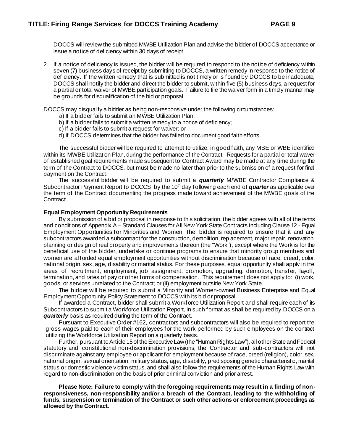DOCCS will review the submitted MWBE Utilization Plan and advise the bidder of DOCCS acceptance or issue a notice of deficiency within 30 days of receipt.

2. If a notice of deficiency is issued, the bidder will be required to respond to the notice of deficiency within seven (7) business days of receipt by submitting to DOCCS, a written remedy in response to the notice of deficiency. If the written remedy that is submitted is not timely or is found by DOCCS to be inadequate, DOCCS shall notify the bidder and direct the bidder to submit, within five (5) business days, a request for a partial or total waiver of MWBE participation goals. Failure to file the waiver form in a timely manner may be grounds for disqualification of the bid or proposal.

DOCCS may disqualify a bidder as being non-responsive under the following circumstances:

- a) If a bidder fails to submit an MWBE Utilization Plan;
- b) If a bidder fails to submit a written remedy to a notice of deficiency;
- c) If a bidder fails to submit a request for waiver; or
- d) If DOCCS determines that the bidder has failed to document good faith efforts.

The successful bidder will be required to attempt to utilize, in good faith, any MBE or WBE identified within its MWBE Utilization Plan, during the performance of the Contract. Requests for a partial or total waiver of established goal requirements made subsequent to Contract Award may be made at any time during the term of the Contract to DOCCS, but must be made no later than prior to the submission of a request for final payment on the Contract.

The successful bidder will be required to submit a *quarterly* M/WBE Contractor Compliance & Subcontractor Payment Report to DOCCS, by the 10<sup>th</sup> day following each end of *quarter* as applicable over the term of the Contract documenting the progress made toward achievement of the MWBE goals of the Contract.

#### **Equal Employment Opportunity Requirements**

By submission of a bid or proposal in response to this solicitation, the bidder agrees with all of the terms and conditions of Appendix A – Standard Clauses for All New York State Contracts including Clause 12 - Equal Employment Opportunities for Minorities and Women. The bidder is required to ensure that it and any subcontractors awarded a subcontract for the construction, demolition, replacement, major repair, renovation, planning or design of real property and improvements thereon (the "Work"), except where the Work is for the beneficial use of the bidder, undertake or continue programs to ensure that minority group members and women are afforded equal employment opportunities without discrimination because of race, creed, color, national origin, sex, age, disability or marital status. For these purposes, equal opportunity shall apply in the areas of recruitment, employment, job assignment, promotion, upgrading, demotion, transfer, layoff, termination, and rates of pay or other forms of compensation. This requirement does not apply to: (i) work, goods, or services unrelated to the Contract; or (ii) employment outside New York State.

The bidder will be required to submit a Minority and Women-owned Business Enterprise and Equal Employment Opportunity Policy Statement to DOCCS with its bid or proposal.

If awarded a Contract, bidder shall submit a Workforce Utilization Report and shall require each of its Subcontractors to submit a Workforce Utilization Report, in such format as shall be required by DOCCS on a *quarterly* basis as required during the term of the Contract.

Pursuant to Executive Order #162, contractors and subcontractors will also be required to report the gross wages paid to each of their employees for the work performed by such employees on the contract utilizing the Workforce Utilization Report on a quarterly basis.

Further, pursuant to Article 15 of the Executive Law (the "Human Rights Law"), all other State and Federal statutory and constitutional non-discrimination provisions, the Contractor and sub-contractors will not discriminate against any employee or applicant for employment because of race, creed (religion), color, sex, national origin, sexual orientation, military status, age, disability, predisposing genetic characteristic, marital status or domestic violence victim status, and shall also follow the requirements of the Human Rights Law with regard to non-discrimination on the basis of prior criminal conviction and prior arrest.

**Please Note: Failure to comply with the foregoing requirements may result in a finding of nonresponsiveness, non-responsibility and/or a breach of the Contract, leading to the withholding of funds, suspension or termination of the Contract or such other actions or enforcement proceedings as allowed by the Contract.**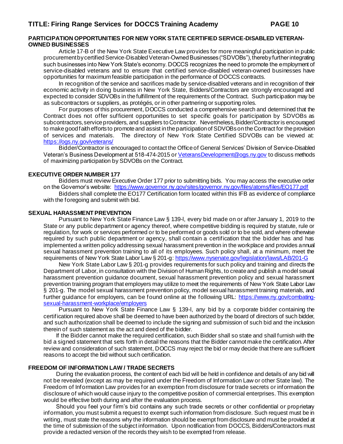#### **PARTICIPATION OPPORTUNITIES FOR NEW YORK STATE CERTIFIED SERVICE-DISABLED VETERAN-OWNED BUSINESSES**

Article 17-B of the New York State Executive Law provides for more meaningful participation in public procurement by certified Service-Disabled Veteran-Owned Businesses ("SDVOBs"), thereby further integrating such businesses into New York State's economy. DOCCS recognizes the need to promote the employment of service-disabled veterans and to ensure that certified service-disabled veteran-owned businesses have opportunities for maximum feasible participation in the performance of DOCCS contracts.

In recognition of the service and sacrifices made by service-disabled veterans and in recognition of their economic activity in doing business in New York State, Bidders/Contractors are strongly encouraged and expected to consider SDVOBs in the fulfillment of the requirements of the Contract. Such participation may be as subcontractors or suppliers, as protégés, or in other partnering or supporting roles.

For purposes of this procurement, DOCCS conducted a comprehensive search and determined that the Contract does not offer sufficient opportunities to set specific goals for participation by SDVOBs as subcontractors, service providers, and suppliers to Contractor. Nevertheless, Bidder/Contractor is encouraged to make good faith efforts to promote and assist in the participation of SDVOBs on the Contract for the provision of services and materials. The directory of New York State Certified SDVOBs can be viewed at: <https://ogs.ny.gov/veterans/>

Bidder/Contractor is encouraged to contact the Office of General Services' Division of Service-Disabled Veteran's Business Development at 518-474-2015 o[r VeteransDevelopment@ogs.ny.gov](mailto:VeteransDevelopment@ogs.ny.gov) to discuss methods of maximizing participation by SDVOBs on the Contract.

#### **EXECUTIVE ORDER NUMBER 177**

Bidders must review Executive Order 177 prior to submitting bids. You may access the executive order on the Governor's website:<https://www.governor.ny.gov/sites/governor.ny.gov/files/atoms/files/EO177.pdf> Bidders shall complete the EO177 Certification form located within this IFB as evidence of compliance with the foregoing and submit with bid.

#### **SEXUAL HARASSMENT PREVENTION**

Pursuant to New York State Finance Law § 139-l, every bid made on or after January 1, 2019 to the State or any public department or agency thereof, where competitive bidding is required by statute, rule or regulation, for work or services performed or to be performed or goods sold or to be sold, and where otherwise required by such public department or agency, shall contain a certification that the bidder has and has implemented a written policy addressing sexual harassment prevention in the workplace and provides annual sexual harassment prevention training to all of its employees. Such policy shall, at a minimum, meet the requirements of New York State Labor Law § 201-g[: https://www.nysenate.gov/legislation/laws/LAB/201-G](https://www.nysenate.gov/legislation/laws/LAB/201-G)

New York State Labor Law § 201-g provides requirements for such policy and training and directs the Department of Labor, in consultation with the Division of Human Rights, to create and publish a model sexual harassment prevention guidance document, sexual harassment prevention policy and sexual harassment prevention training program that employers may utilize to meet the requirements of New York State Labor Law § 201-g. The model sexual harassment prevention policy, model sexual harassment training materials, and further guidance for employers, can be found online at the following URL: [https://www.ny.gov/combating](https://www.ny.gov/combating-sexual-harassment-workplace/employers)[sexual-harassment-workplace/employers](https://www.ny.gov/combating-sexual-harassment-workplace/employers)

Pursuant to New York State Finance Law § 139-l, any bid by a corporate bidder containing the certification required above shall be deemed to have been authorized by the board of directors of such bidder, and such authorization shall be deemed to include the signing and submission of such bid and the inclusion therein of such statement as the act and deed of the bidder.

If the Bidder cannot make the required certification, such Bidder shall so state and shall furnish with the bid a signed statement that sets forth in detail the reasons that the Bidder cannot make the certification. After review and consideration of such statement, DOCCS may reject the bid or may decide that there are sufficient reasons to accept the bid without such certification.

#### **FREEDOM OF INFORMATION LAW / TRADE SECRETS**

During the evaluation process, the content of each bid will be held in confidence and details of any bid will not be revealed (except as may be required under the Freedom of Information Law or other State law). The Freedom of Information Law provides for an exemption from disclosure for trade secrets or information the disclosure of which would cause injury to the competitive position of commercial enterprises. This exemption would be effective both during and after the evaluation process.

Should you feel your firm's bid contains any such trade secrets or other confidential or proprietary information, you must submit a request to exempt such information from disclosure. Such request must be in writing, must state the reasons why the information should be exempt from disclosure and must be provided at the time of submission of the subject information. Upon notification from DOCCS, Bidders/Contractors must provide a redacted version of the records they wish to be exempted from release.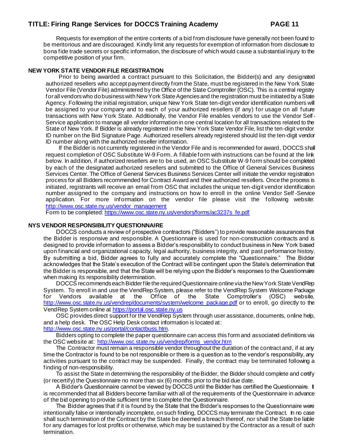Requests for exemption of the entire contents of a bid from disclosure have generally not been found to be meritorious and are discouraged. Kindly limit any requests for exemption of information from disclosure to bona fide trade secrets or specific information, the disclosure of which would cause a substantial injury to the competitive position of your firm.

#### **NEW YORK STATE VENDOR FILE REGISTRATION**

Prior to being awarded a contract pursuant to this Solicitation, the Bidder(s) and any designated authorized resellers who accept payment directly from the State, must be registered in the New York State Vendor File (Vendor File) administered by the Office of the State Comptroller (OSC). This is a central registry for all vendors who do business with New York State Agencies and the registration must be initiated by a State Agency. Following the initial registration, unique New York State ten-digit vendor identification numbers will be assigned to your company and to each of your authorized resellers (if any) for usage on all future transactions with New York State. Additionally, the Vendor File enables vendors to use the Vendor Self-Service application to manage all vendor information in one central location for all transactions related to the State of New York. If Bidder is already registered in the New York State Vendor File, list the ten-digit vendor ID number on the Bid Signature Page. Authorized resellers already registered should list the ten-digit vendor ID number along with the authorized reseller information.

If the Bidder is not currently registered in the Vendor File and is recommended for award, DOCCS shall request completion of OSC Substitute W-9 Form. A fillable form with instructions can be found at the link below. In addition, if authorized resellers are to be used, an OSC Substitute W-9 form should be completed by each of the designated authorized resellers and submitted to the Office of General Services Business Services Center. The Office of General Services Business Services Center will initiate the vendor registration process for all Bidders recommended for Contract Award and their authorized resellers. Once the process is initiated, registrants will receive an email from OSC that includes the unique ten-digit vendor identification number assigned to the company and instructions on how to enroll in the online Vendor Self -Service application. For more information on the vendor file please visit the following website: [http://www.osc.state.ny.us/vendor\\_management](http://www.osc.state.ny.us/vendor_management)

Form to be completed[: https://www.osc.state.ny.us/vendors/forms/ac3237s\\_fe.pdf](https://www.osc.state.ny.us/vendors/forms/ac3237s_fe.pdf)

#### **NYS VENDOR RESPONSIBILITY QUESTIONNAIRE**

DOCCS conducts a review of prospective contractors ("Bidders") to provide reasonable assurances that the Bidder is responsive and responsible. A Questionnaire is used for non-construction contracts and is designed to provide information to assess a Bidder's responsibility to conduct business in New York based upon financial and organizational capacity, legal authority, business integrity, and past performance history. By submitting a bid, Bidder agrees to fully and accurately complete the "Questionnaire." The Bidder acknowledges that the State's execution of the Contract will be contingent upon the State's determination that the Bidder is responsible, and that the State will be relying upon the Bidder's responses to the Questionnaire when making its responsibility determination.

DOCCS recommends each Bidder file the required Questionnaire online via the New York State VendRep System. To enroll in and use the VendRep System, please refer to the VendRep System Welcome Package for Vendors available at the Office of the State Comptroller's (OSC) website, [http://www.osc.state.ny.us/vendrep/documents/system/welcome\\_package.pdf](http://www.osc.state.ny.us/vendrep/documents/system/welcome_package.pdf) or to enroll, go directly to the VendRep System online a[t https://portal.osc.state.ny.us](https://portal.osc.state.ny.us/)

OSC provides direct support for the VendRep System through user assistance, documents, online help, and a help desk. The OSC Help Desk contact information is located at: <http://www.osc.state.ny.us/portal/contactbuss.htm>.

Bidders opting to complete the paper questionnaire can access this form and associated definitions via the OSC website at: [http://www.osc.state.ny.us/vendrep/forms\\_vendor.htm](http://www.osc.state.ny.us/vendrep/forms_vendor.htm)

The Contractor must remain a responsible vendor throughout the duration of the contract and, if at any time the Contractor is found to be not responsible or there is a question as to the vendor's responsibility, any activities pursuant to the contract may be suspended. Finally, the contract may be terminated following a finding of non-responsibility.

To assist the State in determining the responsibility of the Bidder, the Bidder should complete and certify (or recertify) the Questionnaire no more than six (6) months prior to the bid due date.

A Bidder's Questionnaire cannot be viewed by DOCCS until the Bidder has certified the Questionnaire. It is recommended that all Bidders become familiar with all of the requirements of the Questionnaire in advance of the bid opening to provide sufficient time to complete the Questionnaire.

The Bidder agrees that if it is found by the State that the Bidder's responses to the Questionnaire were intentionally false or intentionally incomplete, on such finding, DOCCS may terminate the Contract. In no case shall such termination of the Contract by the State be deemed a breach thereof, nor shall the State be liable for any damages for lost profits or otherwise, which may be sustained by the Contractor as a result of such termination.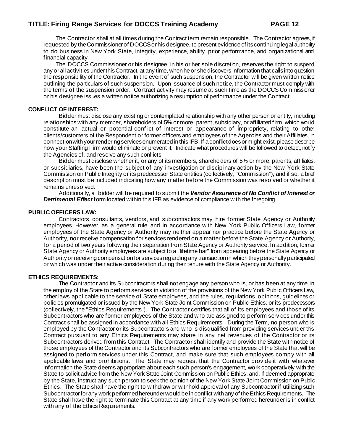The Contractor shall at all times during the Contract term remain responsible. The Contractor agrees, if requested by the Commissioner of DOCCS or his designee, to present evidence of its continuing legal authority to do business in New York State, integrity, experience, ability, prior performance, and organizational and financial capacity.

The DOCCS Commissioner or his designee, in his or her sole discretion, reserves the right to suspend any or all activities under this Contract, at any time, when he or she discovers information that calls into question the responsibility of the Contractor. In the event of such suspension, the Contractor will be given written notice outlining the particulars of such suspension. Upon issuance of such notice, the Contractor must comply with the terms of the suspension order. Contract activity may resume at such time as the DOCCS Commissioner or his designee issues a written notice authorizing a resumption of performance under the Contract.

#### **CONFLICT OF INTEREST:**

Bidder must disclose any existing or contemplated relationship with any other person or entity, including relationships with any member, shareholders of 5% or more, parent, subsidiary, or affiliated firm, which would constitute an actual or potential conflict of interest or appearance of impropriety, relating to other clients/customers of the Respondent or former officers and employees of the Agencies and their Affiliates, in connection with your rendering services enumerated in this IFB. If a conflict does or might exist, please describe how your Staffing Firm would eliminate or prevent it. Indicate what procedures will be followed to detect, notify the Agencies of, and resolve any such conflicts.

Bidder must disclose whether it, or any of its members, shareholders of 5% or more, parents, affiliates, or subsidiaries, have been the subject of any investigation or disciplinary action by the New York State Commission on Public Integrity or its predecessor State entities (collectively, "Commission"), and if so, a brief description must be included indicating how any matter before the Commission was resolved or whether it remains unresolved.

Additionally, a bidder will be required to submit the *Vendor Assurance of No Conflict of Interest or Detrimental Effect* form located within this IFB as evidence of compliance with the foregoing.

#### **PUBLIC OFFICERS LAW:**

Contractors, consultants, vendors, and subcontractors may hire former State Agency or Authority employees. However, as a general rule and in accordance with New York Public Officers Law, former employees of the State Agency or Authority may neither appear nor practice before the State Agency or Authority, nor receive compensation for services rendered on a matter before the State Agency or Authority, for a period of two years following their separation from State Agency or Authority service. In addition, former State Agency or Authority employees are subject to a "lifetime bar" from appearing before the State Agency or Authority or receiving compensation for services regarding any transaction in which they personally participated or which was under their active consideration during their tenure with the State Agency or Authority.

#### **ETHICS REQUIREMENTS:**

The Contractor and its Subcontractors shall not engage any person who is, or has been at any time, in the employ of the State to perform services in violation of the provisions of the New York Public Officers Law, other laws applicable to the service of State employees, and the rules, regulations, opinions, guidelines or policies promulgated or issued by the New York State Joint Commission on Public Ethics, or its predecessors (collectively, the "Ethics Requirements"). The Contractor certifies that all of its employees and those of its Subcontractors who are former employees of the State and who are assigned to perform services under this Contract shall be assigned in accordance with all Ethics Requirements. During the Term, no person who is employed by the Contractor or its Subcontractors and who is disqualified from providing services under this Contract pursuant to any Ethics Requirements may share in any net revenues of the Contractor or its Subcontractors derived from this Contract. The Contractor shall identify and provide the State with notice of those employees of the Contractor and its Subcontractors who are former employees of the State that will be assigned to perform services under this Contract, and make sure that such employees comply with all applicable laws and prohibitions. The State may request that the Contractor provide it with whatever information the State deems appropriate about each such person's engagement, work cooperatively with the State to solicit advice from the New York State Joint Commission on Public Ethics, and, if deemed appropriate by the State, instruct any such person to seek the opinion of the New York State Joint Commission on Public Ethics. The State shall have the right to withdraw or withhold approval of any Subcontractor if utilizing such Subcontractor for any work performed hereunder would be in conflict with any of the Ethics Requirements. The State shall have the right to terminate this Contract at any time if any work performed hereunder is in conflict with any of the Ethics Requirements.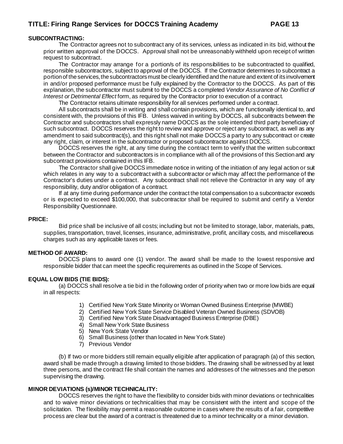#### **SUBCONTRACTING:**

The Contractor agrees not to subcontract any of its services, unless as indicated in its bid, without the prior written approval of the DOCCS. Approval shall not be unreasonably withheld upon receipt of written request to subcontract.

The Contractor may arrange for a portion/s of its responsibilities to be subcontracted to qualified, responsible subcontractors, subject to approval of the DOCCS. If the Contractor determines to subcontract a portion of the services, the subcontractors must be clearly identified and the nature and extent of its involvement in and/or proposed performance must be fully explained by the Contractor to the DOCCS. As part of this explanation, the subcontractor must submit to the DOCCS a completed *Vendor Assurance of No Conflict of Interest or Detrimental Effect* form, as required by the Contractor prior to execution of a contract.

The Contractor retains ultimate responsibility for all services performed under a contract.

All subcontracts shall be in writing and shall contain provisions, which are functionally identical to, and consistent with, the provisions of this IFB. Unless waived in writing by DOCCS, all subcontracts between the Contractor and subcontractors shall expressly name DOCCS as the sole intended third party beneficiary of such subcontract. DOCCS reserves the right to review and approve or reject any subcontract, as well as any amendment to said subcontract(s), and this right shall not make DOCCS a party to any subcontract or create any right, claim, or interest in the subcontractor or proposed subcontractor against DOCCS.

DOCCS reserves the right, at any time during the contract term to verify that the written subcontract between the Contractor and subcontractors is in compliance with all of the provisions of this Section and any subcontract provisions contained in this IFB.

The Contractor shall give DOCCS immediate notice in writing of the initiation of any legal action or suit which relates in any way to a subcontract with a subcontractor or which may affect the performance of the Contractor's duties under a contract. Any subcontract shall not relieve the Contractor in any way of any responsibility, duty and/or obligation of a contract.

If at any time during performance under the contract the total compensation to a subcontractor exceeds or is expected to exceed \$100,000, that subcontractor shall be required to submit and certify a Vendor Responsibility Questionnaire.

#### **PRICE:**

Bid price shall be inclusive of all costs; including but not be limited to storage, labor, materials, parts, supplies, transportation, travel, licenses, insurance, administrative, profit, ancillary costs, and miscellaneous charges such as any applicable taxes or fees.

#### **METHOD OF AWARD:**

DOCCS plans to award one (1) vendor. The award shall be made to the lowest responsive and responsible bidder that can meet the specific requirements as outlined in the Scope of Services.

#### **EQUAL LOW BIDS (TIE BIDS):**

(a) DOCCS shall resolve a tie bid in the following order of priority when two or more low bids are equal in all respects:

- 1) Certified New York State Minority or Woman Owned Business Enterprise (MWBE)
- 2) Certified New York State Service Disabled Veteran Owned Business (SDVOB)
- 3) Certified New York State Disadvantaged Business Enterprise (DBE)
- 4) Small New York State Business
- 5) New York State Vendor
- 6) Small Business (other than located in New York State)
- 7) Previous Vendor

(b) If two or more bidders still remain equally eligible after application of paragraph (a) of this section, award shall be made through a drawing limited to those bidders. The drawing shall be witnessed by at least three persons, and the contract file shall contain the names and addresses of the witnesses and the person supervising the drawing.

#### **MINOR DEVIATIONS (s)/MINOR TECHNICALITY:**

DOCCS reserves the right to have the flexibility to consider bids with minor deviations or technicalities and to waive minor deviations or technicalities that may be consistent with the intent and scope of the solicitation. The flexibility may permit a reasonable outcome in cases where the results of a fair, competitive process are clear but the award of a contract is threatened due to a minor technicality or a minor deviation.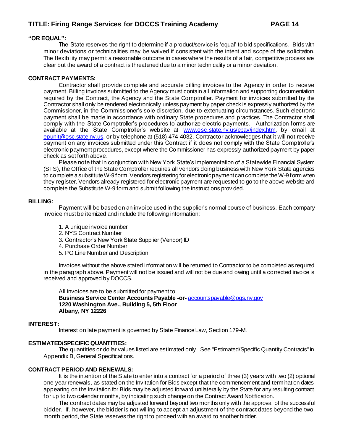#### **"OR EQUAL":**

The State reserves the right to determine if a product/service is 'equal' to bid specifications. Bids with minor deviations or technicalities may be waived if consistent with the intent and scope of the solicitation. The flexibility may permit a reasonable outcome in cases where the results of a fair, competitive process are clear but the award of a contract is threatened due to a minor technicality or a minor deviation.

#### **CONTRACT PAYMENTS:**

Contractor shall provide complete and accurate billing invoices to the Agency in order to receive payment. Billing invoices submitted to the Agency must contain all information and supporting documentation required by the Contract, the Agency and the State Comptroller. Payment for invoices submitted by the Contractor shall only be rendered electronically unless payment by paper check is expressly authorized by the Commissioner, in the Commissioner's sole discretion, due to extenuating circumstances. Such electronic payment shall be made in accordance with ordinary State procedures and practices. The Contractor shall comply with the State Comptroller's procedures to authorize electric payments. Authorization forms are available at the State Comptroller's website at [www.osc.state.ny.us/epay/index.htm](http://www.osc.state.ny.us/epay/index.htm), by email at [epunit@osc.state.ny.us](mailto:epunit@osc.state.ny.us), or by telephone at (518) 474-4032. Contractor acknowledges that it will not receive payment on any invoices submitted under this Contract if it does not comply with the State Comptroller's electronic payment procedures, except where the Commissioner has expressly authorized payment by paper check as set forth above.

Please note that in conjunction with New York State's implementation of a Statewide Financial System (SFS), the Office of the State Comptroller requires all vendors doing business with New York State agencies to complete a substitute W-9 form. Vendors registering for electronic payment can complete the W-9 form when they register. Vendors already registered for electronic payment are requested to go to the above website and complete the Substitute W-9 form and submit following the instructions provided.

#### **BILLING:**

Payment will be based on an invoice used in the supplier's normal course of business. Each company invoice must be itemized and include the following information:

- 1. A unique invoice number
- 2. NYS Contract Number
- 3. Contractor's New York State Supplier (Vendor) ID
- 4. Purchase Order Number
- 5. PO Line Number and Description

Invoices without the above stated information will be returned to Contractor to be completed as required in the paragraph above. Payment will not be issued and will not be due and owing until a corrected invoice is received and approved by DOCCS.

All Invoices are to be submitted for payment to: **Business Service Center Accounts Payable -or-** [accountspayable@ogs.ny.gov](mailto:accountspayable@ogs.ny.gov) **1220 Washington Ave., Building 5, 5th Floor Albany, NY 12226**

#### **INTEREST:**

Interest on late payment is governed by State Finance Law, Section 179-M.

#### **ESTIMATED/SPECIFIC QUANTITIES:**

The quantities or dollar values listed are estimated only. See "Estimated/Specific Quantity Contracts" in Appendix B, General Specifications.

#### **CONTRACT PERIOD AND RENEWALS:**

It is the intention of the State to enter into a contract for a period of three (3) years with two (2) optional one-year renewals, as stated on the Invitation for Bids except that the commencement and termination dates appearing on the Invitation for Bids may be adjusted forward unilaterally by the State for any resulting contract for up to two calendar months, by indicating such change on the Contract Award Notification.

The contract dates may be adjusted forward beyond two months only with the approval of the successful bidder. If, however, the bidder is not willing to accept an adjustment of the contract dates beyond the twomonth period, the State reserves the right to proceed with an award to another bidder.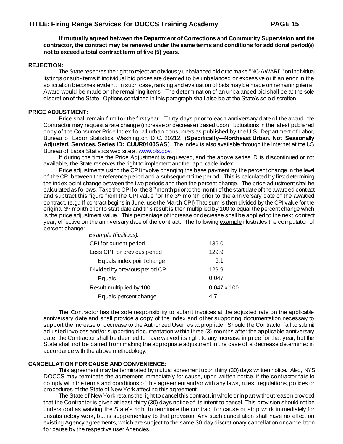**If mutually agreed between the Department of Corrections and Community Supervision and the contractor, the contract may be renewed under the same terms and conditions for additional period(s) not to exceed a total contract term of five (5) years.**

#### **REJECTION:**

The State reserves the right to reject an obviously unbalanced bid or to make "NO AWARD" on individual listings or sub-items if individual bid prices are deemed to be unbalanced or excessive or if an error in the solicitation becomes evident. In such case, ranking and evaluation of bids may be made on remaining items. Award would be made on the remaining items. The determination of an unbalanced bid shall be at the sole discretion of the State. Options contained in this paragraph shall also be at the State's sole discretion.

#### **PRICE ADJUSTMENT:**

Price shall remain firm for the first year. Thirty days prior to each anniversary date of the award, the Contractor may request a rate change (increase or decrease) based upon fluctuations in the latest published copy of the Consumer Price Index for all urban consumers as published by the U S. Department of Labor, Bureau of Labor Statistics, Washington, D.C. 20212. (**Specifically—Northeast Urban, Not Seasonally Adjusted, Services, Series ID: CUUR0100SAS**). The index is also available through the Internet at the US Bureau of Labor Statistics web site a[t www.bls.gov](http://www.bls.gov/).

If during the time the Price Adjustment is requested, and the above series ID is discontinued or not available, the State reserves the right to implement another applicable index.

Price adjustments using the CPI involve changing the base payment by the percent change in the level of the CPI between the reference period and a subsequent time period. This is calculated by first determining the index point change between the two periods and then the percent change. The price adjustment shall be calculated as follows. Take the CPI for the 3<sup>rd</sup> month prior to the month of the start date of the awarded contract and subtract this figure from the CPI value for the 3<sup>rd</sup> month prior to the anniversary date of the awarded contract. (e.g.: If contract begins in June, use the March CPI) That sum is then divided by the CPI value for the original 3<sup>rd</sup> month prior to start date and this result is then multiplied by 100 to equal the percent change which is the price adjustment value. This percentage of increase or decrease shall be applied to the next contract year, effective on the anniversary date of the contract. The following example illustrates the computation of percent change:

| Example (fictitious):          |                    |
|--------------------------------|--------------------|
| CPI for current period         | 136.0              |
| Less CPI for previous period   | 129.9              |
| Equals index point change      | 6.1                |
| Divided by previous period CPI | 129.9              |
| Equals                         | 0.047              |
| Result multiplied by 100       | $0.047 \times 100$ |
| Equals percent change          | 47                 |

The Contractor has the sole responsibility to submit invoices at the adjusted rate on the applicable anniversary date and shall provide a copy of the index and other supporting documentation necessary to support the increase or decrease to the Authorized User, as appropriate. Should the Contractor fail to submit adjusted invoices and/or supporting documentation within three (3) months after the applicable anniversary date, the Contractor shall be deemed to have waived its right to any increase in price for that year, but the State shall not be barred from making the appropriate adjustment in the case of a decrease determined in accordance with the above methodology.

#### **CANCELLATION FOR CAUSE AND CONVENIENCE:**

This agreement may be terminated by mutual agreement upon thirty (30) days written notice. Also, NYS DOCCS may terminate the agreement immediately for cause, upon written notice, if the contractor fails to comply with the terms and conditions of this agreement and/or with any laws, rules, regulations, policies or procedures of the State of New York affecting this agreement.

The State of New York retains the right to cancel this contract, in whole or in part without reason provided that the Contractor is given at least thirty (30) days notice of its intent to cancel. This provision should not be understood as waiving the State's right to terminate the contract for cause or stop work immediately for unsatisfactory work, but is supplementary to that provision. Any such cancellation shall have no effect on existing Agency agreements, which are subject to the same 30-day discretionary cancellation or cancellation for cause by the respective user Agencies.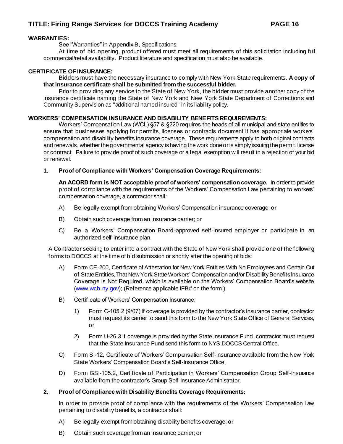#### **WARRANTIES:**

See "Warranties" in Appendix B, Specifications.

At time of bid opening, product offered must meet all requirements of this solicitation including full commercial/retail availability. Product literature and specification must also be available.

#### **CERTIFICATE OF INSURANCE:**

Bidders must have the necessary insurance to comply with New York State requirements. **A copy of that insurance certificate shall be submitted from the successful bidder.** 

Prior to providing any service to the State of New York, the bidder must provide another copy of the insurance certificate naming the State of New York and New York State Department of Corrections and Community Supervision as "additional named insured" in its liability policy.

#### **WORKERS' COMPENSATION INSURANCE AND DISABILITY BENEFITS REQUIREMENTS:**

Workers' Compensation Law (WCL) §57 & §220 requires the heads of all municipal and state entities to ensure that businesses applying for permits, licenses or contracts document it has appropriate workers' compensation and disability benefits insurance coverage. These requirements apply to both original contracts and renewals, whether the governmental agency is having the work done or is simply issuing the permit, license or contract. Failure to provide proof of such coverage or a legal exemption will result in a rejection of your bid or renewal.

#### **1. Proof of Compliance with Workers' Compensation Coverage Requirements:**

**An ACORD form is NOT acceptable proof of workers' compensation coverage.** In order to provide proof of compliance with the requirements of the Workers' Compensation Law pertaining to workers' compensation coverage, a contractor shall:

- A) Be legally exempt from obtaining Workers' Compensation insurance coverage; or
- B) Obtain such coverage from an insurance carrier; or
- C) Be a Workers' Compensation Board-approved self-insured employer or participate in an authorized self-insurance plan.

A Contractor seeking to enter into a contract with the State of New York shall provide one of the following forms to DOCCS at the time of bid submission or shortly after the opening of bids:

- A) Form CE-200, Certificate of Attestation for New York Entities With No Employees and Certain Out of State Entities, That New York State Workers' Compensation and/or Disability Benefits Insurance Coverage is Not Required, which is available on the Workers' Compensation Board's website [\(www.wcb.ny.gov](http://www.wcb.ny.gov/)); (Reference applicable IFB# on the form.)
- B) Certificate of Workers' Compensation Insurance:
	- 1) Form C-105.2 (9/07) if coverage is provided by the contractor's insurance carrier, contractor must request its carrier to send this form to the New York State Office of General Services, or
	- 2) Form U-26.3 if coverage is provided by the State Insurance Fund, contractor must request that the State Insurance Fund send this form to NYS DOCCS Central Office.
- C) Form SI-12, Certificate of Workers' Compensation Self-Insurance available from the New York State Workers' Compensation Board's Self-Insurance Office.
- D) Form GSI-105.2, Certificate of Participation in Workers' Compensation Group Self-Insurance available from the contractor's Group Self-Insurance Administrator.

#### **2. Proof of Compliance with Disability Benefits Coverage Requirements:**

In order to provide proof of compliance with the requirements of the Workers' Compensation Law pertaining to disability benefits, a contractor shall:

- A) Be legally exempt from obtaining disability benefits coverage; or
- B) Obtain such coverage from an insurance carrier; or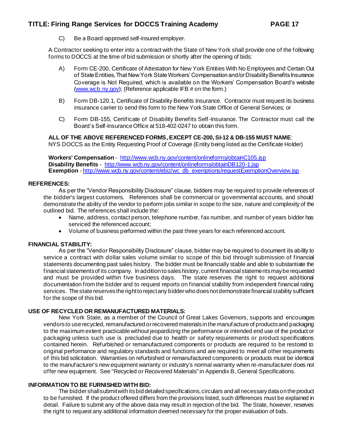C) Be a Board-approved self-insured employer.

A Contractor seeking to enter into a contract with the State of New York shall provide one of the following forms to DOCCS at the time of bid submission or shortly after the opening of bids:

- A) Form CE-200, Certificate of Attestation for New York Entities With No Employees and Certain Out of State Entities, That New York State Workers' Compensation and/or Disability Benefits Insurance Coverage is Not Required, which is available on the Workers' Compensation Board's website [\(www.wcb.ny.gov](http://www.wcb.ny.gov/)); (Reference applicable IFB # on the form.)
- B) Form DB-120.1, Certificate of Disability Benefits Insurance. Contractor must request its business insurance carrier to send this form to the New York State Office of General Services; or
- C) Form DB-155, Certificate of Disability Benefits Self-Insurance. The Contractor must call the Board's Self-Insurance Office at 518-402-0247 to obtain this form.

#### **ALL OF THE ABOVE REFERENCED FORMS, EXCEPT CE-200, SI-12 & DB-155 MUST NAME**:

NYS DOCCS as the Entity Requesting Proof of Coverage (Entity being listed as the Certificate Holder)

**Workers' Compensation** - <http://www.wcb.ny.gov/content/onlineforms/obtainC105.jsp> **Disability Benefits** - <http://www.wcb.ny.gov/content/onlineforms/obtainDB120-1.jsp> **Exemption** - [http://www.wcb.ny.gov/content/ebiz/wc\\_db\\_exemptions/requestExemptionOverview.jsp](http://www.wcb.ny.gov/content/ebiz/wc_db_exemptions/requestExemptionOverview.jsp)

#### **REFERENCES:**

As per the "Vendor Responsibility Disclosure" clause, bidders may be required to provide references of the bidder's largest customers. References shall be commercial or governmental accounts, and should demonstrate the ability of the vendor to perform jobs similar in scope to the size, nature and complexity of the outlined bid. The references shall include the:

- Name, address, contact person, telephone number, fax number, and number of years bidder has serviced the referenced account;
- Volume of business performed within the past three years for each referenced account.

#### **FINANCIAL STABILITY:**

As per the "Vendor Responsibility Disclosure" clause, bidder may be required to document its ability to service a contract with dollar sales volume similar to scope of this bid through submission of financial statements documenting past sales history. The bidder must be financially stable and able to substantiate the financial statements of its company. In addition to sales history, current financial statements may be requested and must be provided within five business days. The state reserves the right to request additional documentation from the bidder and to request reports on financial stability from independent financial rating services. The state reserves the right to reject any bidder who does not demonstrate financial stability sufficient for the scope of this bid.

#### **USE OF RECYCLED OR REMANUFACTURED MATERIALS:**

New York State, as a member of the Council of Great Lakes Governors, supports and encourages vendors to use recycled, remanufactured or recovered materials in the manufacture of products and packaging to the maximum extent practicable without jeopardizing the performance or intended end use of the product or packaging unless such use is precluded due to health or safety requirements or product specifications contained herein. Refurbished or remanufactured components or products are required to be restored to original performance and regulatory standards and functions and are required to meet all other requirements of this bid solicitation. Warranties on refurbished or remanufactured components or products must be identical to the manufacturer's new equipment warranty or industry's normal warranty when re-manufacturer does not offer new equipment. See "Recycled or Recovered Materials" in Appendix B, General Specifications.

#### **INFORMATION TO BE FURNISHED WITH BID:**

The bidder shall submit with its bid detailed specifications, circulars and all necessary data on the product to be furnished. If the product offered differs from the provisions listed, such differences must be explained in detail. Failure to submit any of the above data may result in rejection of the bid. The State, however, reserves the right to request any additional information deemed necessary for the proper evaluation of bids.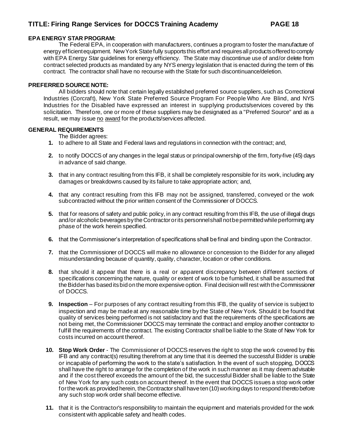#### **EPA ENERGY STAR PROGRAM:**

The Federal EPA, in cooperation with manufacturers, continues a program to foster the manufacture of energy efficient equipment. New York State fully supports this effort and requires all products offered to comply with EPA Energy Star guidelines for energy efficiency. The State may discontinue use of and/or delete from contract selected products as mandated by any NYS energy legislation that is enacted during the term of this contract. The contractor shall have no recourse with the State for such discontinuance/deletion.

#### **PREFERRED SOURCE NOTE:**

All bidders should note that certain legally established preferred source suppliers, such as Correctional Industries (Corcraft), New York State Preferred Source Program For People Who Are Blind, and NYS Industries for the Disabled have expressed an interest in supplying products/services covered by this solicitation. Therefore, one or more of these suppliers may be designated as a "Preferred Source" and as a result, we may issue no award for the products/services affected.

#### **GENERAL REQUIREMENTS**

The Bidder agrees:

- **1.** to adhere to all State and Federal laws and regulations in connection with the contract; and,
- **2.** to notify DOCCS of any changes in the legal status or principal ownership of the firm, forty-five (45) days in advance of said change.
- **3.** that in any contract resulting from this IFB, it shall be completely responsible for its work, including any damages or breakdowns caused by its failure to take appropriate action; and,
- **4.** that any contract resulting from this IFB may not be assigned, transferred, conveyed or the work subcontracted without the prior written consent of the Commissioner of DOCCS.
- **5.** that for reasons of safety and public policy, in any contract resulting from this IFB, the use of illegal drugs and/or alcoholic beverages by the Contractor or its personnel shall not be permitted while performing any phase of the work herein specified.
- **6.** that the Commissioner's interpretation of specifications shall be final and binding upon the Contractor.
- **7.** that the Commissioner of DOCCS will make no allowance or concession to the Bidder for any alleged misunderstanding because of quantity, quality, character, location or other conditions.
- **8.** that should it appear that there is a real or apparent discrepancy between different sections of specifications concerning the nature, quality or extent of work to be furnished, it shall be assumed that the Bidder has based its bid on the more expensive option. Final decision will rest with the Commissioner of DOCCS.
- **9. Inspection** For purposes of any contract resulting from this IFB, the quality of service is subject to inspection and may be made at any reasonable time by the State of New York. Should it be found that quality of services being performed is not satisfactory and that the requirements of the specifications are not being met, the Commissioner DOCCS may terminate the contract and employ another contractor to fulfill the requirements of the contract. The existing Contractor shall be liable to the State of New York for costs incurred on account thereof.
- **10. Stop Work Order** The Commissioner of DOCCS reserves the right to stop the work covered by this IFB and any contract(s) resulting therefrom at any time that it is deemed the successful Bidder is unable or incapable of performing the work to the state's satisfaction. In the event of such stopping, DOCCS shall have the right to arrange for the completion of the work in such manner as it may deem advisable and if the cost thereof exceeds the amount of the bid, the successful Bidder shall be liable to the State of New York for any such costs on account thereof. In the event that DOCCS issues a stop work order for the work as provided herein, the Contractor shall have ten (10) working days to respond thereto before any such stop work order shall become effective.
- **11.** that it is the Contractor's responsibility to maintain the equipment and materials provided for the work consistent with applicable safety and health codes.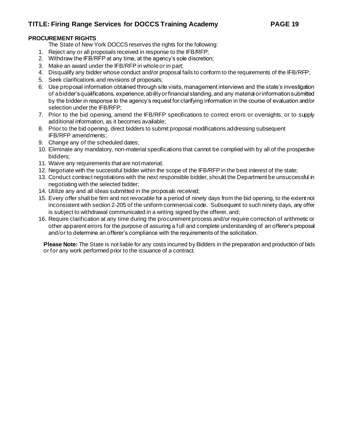### **PROCUREMENT RIGHTS**

The State of New York DOCCS reserves the rights for the following:

- 1. Reject any or all proposals received in response to the IFB/RFP;
- 2. Withdraw the IFB/RFP at any time, at the agency's sole discretion;
- 3. Make an award under the IFB/RFP in whole or in part;
- 4. Disqualify any bidder whose conduct and/or proposal fails to conform to the requirements of the IFB/RFP;
- 5. Seek clarifications and revisions of proposals;
- 6. Use proposal information obtained through site visits, management interviews and the state's investigation of a bidder's qualifications, experience, ability or financial standing, and any material or information submitted by the bidder in response to the agency's request for clarifying information in the course of evaluation and/or selection under the IFB/RFP;
- 7. Prior to the bid opening, amend the IFB/RFP specifications to correct errors or oversights, or to supply additional information, as it becomes available;
- 8. Prior to the bid opening, direct bidders to submit proposal modifications addressing subsequent IFB/RFP amendments;
- 9. Change any of the scheduled dates;
- 10. Eliminate any mandatory, non-material specifications that cannot be complied with by all of the prospective bidders;
- 11. Waive any requirements that are not material;
- 12. Negotiate with the successful bidder within the scope of the IFB/RFP in the best interest of the state;
- 13. Conduct contract negotiations with the next responsible bidder, should the Department be unsuccessful in negotiating with the selected bidder;
- 14. Utilize any and all ideas submitted in the proposals received;
- 15. Every offer shall be firm and not revocable for a period of ninety days from the bid opening, to the extent not inconsistent with section 2-205 of the uniform commercial code. Subsequent to such ninety days, any offer is subject to withdrawal communicated in a writing signed by the offerer, and;
- 16. Require clarification at any time during the procurement process and/or require correction of arithmetic or other apparent errors for the purpose of assuring a full and complete understanding of an offerer's proposal and/or to determine an offerer's compliance with the requirements of the solicitation.

**Please Note:** The State is not liable for any costs incurred by Bidders in the preparation and production of bids or for any work performed prior to the issuance of a contract.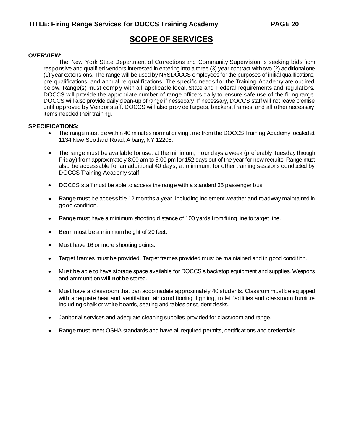# **SCOPE OF SERVICES**

#### **OVERVIEW:**

The New York State Department of Corrections and Community Supervision is seeking bids from responsive and qualified vendors interested in entering into a three (3) year contract with two (2) additional one (1) year extensions. The range will be used by NYSDOCCS employees for the purposes of initial qualifications, pre-qualifications, and annual re-qualifications. The specific needs for the Training Academy are outlined below. Range(s) must comply with all applicable local, State and Federal requirements and regulations. DOCCS will provide the appropriate number of range officers daily to ensure safe use of the firing range. DOCCS will also provide daily clean-up of range if nessecary. If necessary, DOCCS staff will not leave premise until approved by Vendor staff. DOCCS will also provide targets, backers, frames, and all other necessary items needed their training.

#### **SPECIFICATIONS:**

- The range must be within 40 minutes normal driving time from the DOCCS Training Academy located at 1134 New Scotland Road, Albany, NY 12208.
- The range must be available for use, at the minimum, Four days a week (preferably Tuesday through Friday) from approximately 8:00 am to 5:00 pm for 152 days out of the year for new recruits. Range must also be accessable for an additional 40 days, at minimum, for other training sessions conducted by DOCCS Training Academy staff
- DOCCS staff must be able to access the range with a standard 35 passenger bus.
- Range must be accessible 12 months a year, including inclement weather and roadway maintained in good condition.
- Range must have a minimum shooting distance of 100 yards from firing line to target line.
- Berm must be a minimum height of 20 feet.
- Must have 16 or more shooting points.
- Target frames must be provided. Target frames provided must be maintained and in good condition.
- Must be able to have storage space available for DOCCS's backstop equipment and supplies. Weapons and ammunition **will not** be stored.
- Must have a classroom that can accomadate approximately 40 students. Classrom must be equipped with adequate heat and ventilation, air conditioning, lighting, toilet facilities and classroom furniture including chalk or white boards, seating and tables or student desks.
- Janitorial services and adequate cleaning supplies provided for classroom and range.
- Range must meet OSHA standards and have all required permits, certifications and credentials.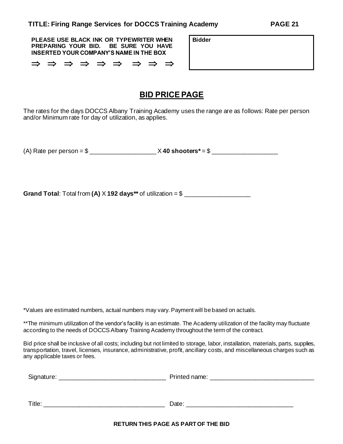**PLEASE USE BLACK INK OR TYPEWRITER WHEN PREPARING YOUR BID. BE SURE YOU HAVE INSERTED YOUR COMPANY'S NAME IN THE BOX**

 $\Rightarrow$   $\Rightarrow$   $\Rightarrow$   $\Rightarrow$   $\Rightarrow$   $\Rightarrow$   $\Rightarrow$   $\Rightarrow$ 

# **BID PRICE PAGE**

**Bidder**

The rates for the days DOCCS Albany Training Academy uses the range are as follows: Rate per person and/or Minimum rate for day of utilization, as applies.

(A) Rate per person = \$ \_\_\_\_\_\_\_\_\_\_\_\_\_\_\_\_\_\_\_ X **40 shooters\*** = \$ \_\_\_\_\_\_\_\_\_\_\_\_\_\_\_\_\_\_\_

**Grand Total**: Total from **(A)** X **192 days\*\*** of utilization = \$ \_\_\_\_\_\_\_\_\_\_\_\_\_\_\_\_\_\_\_

\*Values are estimated numbers, actual numbers may vary. Payment will be based on actuals.

\*\*The minimum utilization of the vendor's facility is an estimate. The Academy utilization of the facility may fluctuate according to the needs of DOCCS Albany Training Academy throughout the term of the contract.

Bid price shall be inclusive of all costs; including but not limited to storage, labor, installation, materials, parts, supplies, transportation, travel, licenses, insurance, administrative, profit, ancillary costs, and miscellaneous charges such as any applicable taxes or fees.

| Signature: | Printed name: |
|------------|---------------|
|            |               |
|            |               |
| Title:     | Date:         |

**RETURN THIS PAGE AS PART OF THE BID**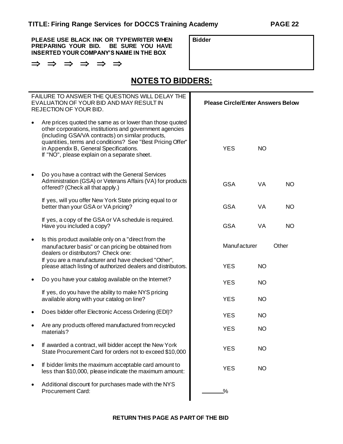**PLEASE USE BLACK INK OR TYPEWRITER WHEN PREPARING YOUR BID. BE SURE YOU HAVE INSERTED YOUR COMPANY'S NAME IN THE BOX**

|  | — — — — — —<br>→ → → → → → | ─ |
|--|----------------------------|---|
|  |                            |   |

**Bidder**

# **NOTES TO BIDDERS:**

|           | FAILURE TO ANSWER THE QUESTIONS WILL DELAY THE<br>EVALUATION OF YOUR BID AND MAY RESULT IN<br>REJECTION OF YOUR BID.                                                                                                                                                                                                              | <b>Please Circle/Enter Answers Below</b> |           |           |
|-----------|-----------------------------------------------------------------------------------------------------------------------------------------------------------------------------------------------------------------------------------------------------------------------------------------------------------------------------------|------------------------------------------|-----------|-----------|
| $\bullet$ | Are prices quoted the same as or lower than those quoted<br>other corporations, institutions and government agencies<br>(including GSA/VA contracts) on similar products,<br>quantities, terms and conditions? See "Best Pricing Offer"<br>in Appendix B, General Specifications.<br>If "NO", please explain on a separate sheet. | <b>YES</b>                               | <b>NO</b> |           |
| $\bullet$ | Do you have a contract with the General Services<br>Administration (GSA) or Veterans Affairs (VA) for products<br>offered? (Check all that apply.)                                                                                                                                                                                | <b>GSA</b>                               | VA        | <b>NO</b> |
|           | If yes, will you offer New York State pricing equal to or<br>better than your GSA or VA pricing?                                                                                                                                                                                                                                  | <b>GSA</b>                               | VA        | <b>NO</b> |
|           | If yes, a copy of the GSA or VA schedule is required.<br>Have you included a copy?                                                                                                                                                                                                                                                | <b>GSA</b>                               | VA        | <b>NO</b> |
| $\bullet$ | Is this product available only on a "direct from the<br>manufacturer basis" or can pricing be obtained from<br>dealers or distributors? Check one:                                                                                                                                                                                | Manuf acturer                            |           | Other     |
|           | If you are a manufacturer and have checked "Other",<br>please attach listing of authorized dealers and distributors.                                                                                                                                                                                                              | <b>YES</b>                               | <b>NO</b> |           |
| $\bullet$ | Do you have your catalog available on the Internet?                                                                                                                                                                                                                                                                               | <b>YES</b>                               | <b>NO</b> |           |
|           | If yes, do you have the ability to make NYS pricing<br>available along with your catalog on line?                                                                                                                                                                                                                                 | <b>YES</b>                               | <b>NO</b> |           |
| ٠         | Does bidder offer Electronic Access Ordering (EDI)?                                                                                                                                                                                                                                                                               | <b>YES</b>                               | <b>NO</b> |           |
|           | Are any products offered manufactured from recycled<br>materials?                                                                                                                                                                                                                                                                 | <b>YES</b>                               | <b>NO</b> |           |
|           | If awarded a contract, will bidder accept the New York<br>State Procurement Card for orders not to exceed \$10,000                                                                                                                                                                                                                | <b>YES</b>                               | <b>NO</b> |           |
| $\bullet$ | If bidder limits the maximum acceptable card amount to<br>less than \$10,000, please indicate the maximum amount:                                                                                                                                                                                                                 | <b>YES</b>                               | <b>NO</b> |           |
| $\bullet$ | Additional discount for purchases made with the NYS<br><b>Procurement Card:</b>                                                                                                                                                                                                                                                   | $\frac{0}{2}$                            |           |           |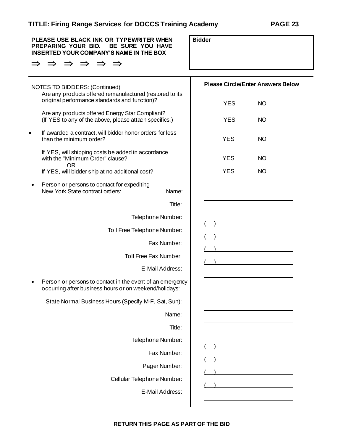| PLEASE USE BLACK INK OR TYPEWRITER WHEN<br>PREPARING YOUR BID.<br>BE SURE YOU HAVE<br><b>INSERTED YOUR COMPANY'S NAME IN THE BOX</b> |                                                                                                                     | <b>Bidder</b>                            |           |
|--------------------------------------------------------------------------------------------------------------------------------------|---------------------------------------------------------------------------------------------------------------------|------------------------------------------|-----------|
|                                                                                                                                      |                                                                                                                     |                                          |           |
|                                                                                                                                      | <b>NOTES TO BIDDERS: (Continued)</b>                                                                                | <b>Please Circle/Enter Answers Below</b> |           |
|                                                                                                                                      | Are any products offered remanufactured (restored to its<br>original performance standards and function)?           | <b>YES</b>                               | <b>NO</b> |
|                                                                                                                                      | Are any products offered Energy Star Compliant?<br>(If YES to any of the above, please attach specifics.)           | <b>YES</b>                               | <b>NO</b> |
|                                                                                                                                      | If awarded a contract, will bidder honor orders for less<br>than the minimum order?                                 | <b>YES</b>                               | <b>NO</b> |
|                                                                                                                                      | If YES, will shipping costs be added in accordance<br>with the "Minimum Order" clause?                              | <b>YES</b>                               | <b>NO</b> |
|                                                                                                                                      | <b>OR</b><br>If YES, will bidder ship at no additional cost?                                                        | <b>YES</b>                               | NO.       |
|                                                                                                                                      | Person or persons to contact for expediting<br>New York State contract orders:<br>Name:                             |                                          |           |
|                                                                                                                                      | Title:                                                                                                              |                                          |           |
|                                                                                                                                      | Telephone Number:                                                                                                   |                                          |           |
|                                                                                                                                      | Toll Free Telephone Number:                                                                                         |                                          |           |
|                                                                                                                                      | Fax Number:                                                                                                         |                                          |           |
|                                                                                                                                      | Toll Free Fax Number:                                                                                               |                                          |           |
|                                                                                                                                      | E-Mail Address:                                                                                                     |                                          |           |
|                                                                                                                                      | Person or persons to contact in the event of an emergency<br>occurring after business hours or on weekend/holidays: |                                          |           |
|                                                                                                                                      | State Normal Business Hours (Specify M-F, Sat, Sun):                                                                |                                          |           |
|                                                                                                                                      | Name:                                                                                                               |                                          |           |
|                                                                                                                                      | Title:                                                                                                              |                                          |           |
|                                                                                                                                      | Telephone Number:                                                                                                   |                                          |           |
|                                                                                                                                      | Fax Number:                                                                                                         |                                          |           |
|                                                                                                                                      | Pager Number:                                                                                                       |                                          |           |
|                                                                                                                                      | Cellular Telephone Number:                                                                                          |                                          |           |
|                                                                                                                                      | E-Mail Address:                                                                                                     |                                          |           |
|                                                                                                                                      |                                                                                                                     |                                          |           |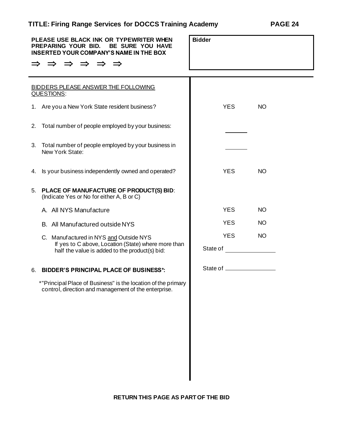| PLEASE USE BLACK INK OR TYPEWRITER WHEN<br>PREPARING YOUR BID.<br><b>BE SURE YOU HAVE</b><br>INSERTED YOUR COMPANY'S NAME IN THE BOX<br>$\Rightarrow$ $\Rightarrow$ $\Rightarrow$<br>$\Rightarrow$ | <b>Bidder</b>          |           |
|----------------------------------------------------------------------------------------------------------------------------------------------------------------------------------------------------|------------------------|-----------|
|                                                                                                                                                                                                    |                        |           |
| <b>BIDDERS PLEASE ANSWER THE FOLLOWING</b><br>QUESTIONS:                                                                                                                                           |                        |           |
| 1. Are you a New York State resident business?                                                                                                                                                     | <b>YES</b>             | <b>NO</b> |
| Total number of people employed by your business:<br>2.                                                                                                                                            |                        |           |
| 3. Total number of people employed by your business in<br>New York State:                                                                                                                          |                        |           |
| Is your business independently owned and operated?<br>4.                                                                                                                                           | <b>YES</b>             | <b>NO</b> |
| PLACE OF MANUFACTURE OF PRODUCT(S) BID:<br>5.<br>(Indicate Yes or No for either A, B or C)                                                                                                         |                        |           |
| A. All NYS Manufacture                                                                                                                                                                             | <b>YES</b>             | <b>NO</b> |
| B. All Manufactured outside NYS                                                                                                                                                                    | <b>YES</b>             | <b>NO</b> |
| C. Manuf actured in NYS and Outside NYS<br>If yes to C above, Location (State) where more than                                                                                                     | <b>YES</b><br>State of | <b>NO</b> |
| half the value is added to the product(s) bid:                                                                                                                                                     |                        |           |
| <b>BIDDER'S PRINCIPAL PLACE OF BUSINESS*:</b><br>6.                                                                                                                                                | State of ___________   |           |
| *"Principal Place of Business" is the location of the primary<br>control, direction and management of the enterprise.                                                                              |                        |           |
|                                                                                                                                                                                                    |                        |           |
|                                                                                                                                                                                                    |                        |           |
|                                                                                                                                                                                                    |                        |           |
|                                                                                                                                                                                                    |                        |           |
|                                                                                                                                                                                                    |                        |           |
|                                                                                                                                                                                                    |                        |           |
|                                                                                                                                                                                                    |                        |           |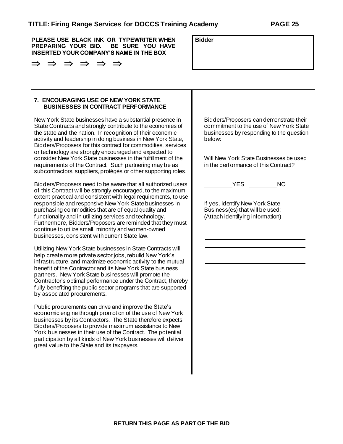**PLEASE USE BLACK INK OR TYPEWRITER WHEN PREPARING YOUR BID. BE SURE YOU HAVE INSERTED YOUR COMPANY'S NAME IN THE BOX**

| <b>Bidder</b> |  |
|---------------|--|
|               |  |

#### **7. ENCOURAGING USE OF NEW YORK STATE BUSINESSES IN CONTRACT PERFORMANCE**

New York State businesses have a substantial presence in State Contracts and strongly contribute to the economies of the state and the nation. In recognition of their economic activity and leadership in doing business in New York State, Bidders/Proposers for this contract for commodities, services or technology are strongly encouraged and expected to consider New York State businesses in the fulfillment of the requirements of the Contract. Such partnering may be as subcontractors, suppliers, protégés or other supporting roles.

Bidders/Proposers need to be aware that all authorized users of this Contract will be strongly encouraged, to the maximum extent practical and consistent with legal requirements, to use responsible and responsive New York State businesses in purchasing commodities that are of equal quality and functionality and in utilizing services and technology. Furthermore, Bidders/Proposers are reminded that they must continue to utilize small, minority and women-owned businesses, consistent with current State law.

Utilizing New York State businesses in State Contracts will help create more private sector jobs, rebuild New York's infrastructure, and maximize economic activity to the mutual benefit of the Contractor and its New York State business partners. New York State businesses will promote the Contractor's optimal performance under the Contract, thereby fully benefiting the public-sector programs that are supported by associated procurements.

Public procurements can drive and improve the State's economic engine through promotion of the use of New York businesses by its Contractors. The State therefore expects Bidders/Proposers to provide maximum assistance to New York businesses in their use of the Contract. The potential participation by all kinds of New York businesses will deliver great value to the State and its taxpayers.

Bidders/Proposers can demonstrate their commitment to the use of New York State businesses by responding to the question below:

Will New York State Businesses be used in the performance of this Contract?

\_\_\_\_\_\_\_\_\_YES \_\_\_\_\_\_\_\_\_NO

If yes, identify New York State Business(es) that will be used: (Attach identifying information)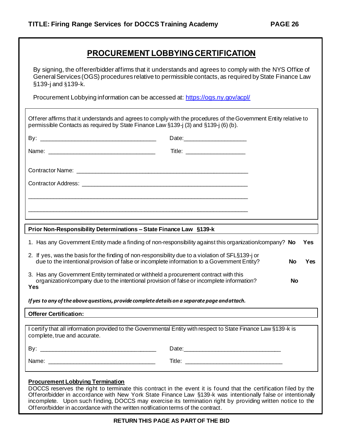# **PROCUREMENT LOBBYING CERTIFICATION**

By signing, the offerer/bidder affirms that it understands and agrees to comply with the NYS Office of General Services (OGS) procedures relative to permissible contacts, as required by State Finance Law §139-j and §139-k.

Procurement Lobbying information can be accessed at: <https://ogs.ny.gov/acpl/>

| Offerer affirms that it understands and agrees to comply with the procedures of the Government Entity relative to<br>permissible Contacts as required by State Finance Law §139-j (3) and §139-j (6) (b). |                                                                                                                                                                                                                                |           |     |
|-----------------------------------------------------------------------------------------------------------------------------------------------------------------------------------------------------------|--------------------------------------------------------------------------------------------------------------------------------------------------------------------------------------------------------------------------------|-----------|-----|
|                                                                                                                                                                                                           |                                                                                                                                                                                                                                |           |     |
|                                                                                                                                                                                                           |                                                                                                                                                                                                                                |           |     |
|                                                                                                                                                                                                           |                                                                                                                                                                                                                                |           |     |
|                                                                                                                                                                                                           |                                                                                                                                                                                                                                |           |     |
|                                                                                                                                                                                                           |                                                                                                                                                                                                                                |           |     |
|                                                                                                                                                                                                           |                                                                                                                                                                                                                                |           |     |
|                                                                                                                                                                                                           |                                                                                                                                                                                                                                |           |     |
| Prior Non-Responsibility Determinations - State Finance Law §139-k                                                                                                                                        |                                                                                                                                                                                                                                |           |     |
| 1. Has any Government Entity made a finding of non-responsibility against this organization/company? No                                                                                                   |                                                                                                                                                                                                                                |           | Yes |
| 2. If yes, was the basis for the finding of non-responsibility due to a violation of SFL§139-j or<br>due to the intentional provision of false or incomplete information to a Government Entity?          |                                                                                                                                                                                                                                | <b>No</b> | Yes |
| 3. Has any Government Entity terminated or withheld a procurement contract with this<br>organization/company due to the intentional provision of false or incomplete information?<br>Yes                  |                                                                                                                                                                                                                                | <b>No</b> |     |
| If yes to any of the above questions, provide complete details on a separate page and attach.                                                                                                             |                                                                                                                                                                                                                                |           |     |
| <b>Offerer Certification:</b>                                                                                                                                                                             |                                                                                                                                                                                                                                |           |     |
| I certify that all information provided to the Governmental Entity with respect to State Finance Law §139-k is<br>complete, true and accurate.                                                            |                                                                                                                                                                                                                                |           |     |
|                                                                                                                                                                                                           | Date: Note: 2008 and 2008 and 2008 and 2008 and 2008 and 2008 and 2008 and 2008 and 2008 and 2008 and 2008 and 2008 and 2008 and 2008 and 2008 and 2008 and 2008 and 2008 and 2008 and 2008 and 2008 and 2008 and 2008 and 200 |           |     |
|                                                                                                                                                                                                           |                                                                                                                                                                                                                                |           |     |

#### **Procurement Lobbying Termination**

DOCCS reserves the right to terminate this contract in the event it is found that the certification filed by the Offeror/bidder in accordance with New York State Finance Law §139-k was intentionally false or intentionally incomplete. Upon such finding, DOCCS may exercise its termination right by providing written notice to the Offeror/bidder in accordance with the written notification terms of the contract.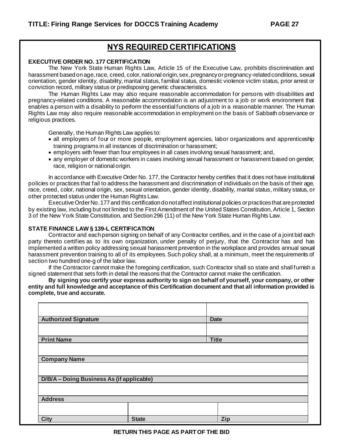# **NYS REQUIRED CERTIFICATIONS**

#### **EXECUTIVE ORDER NO. 177 CERTIFICATION**

The New York State Human Rights Law, Article 15 of the Executive Law, prohibits discrimination and harassment based on age, race, creed, color, national origin, sex, pregnancy or pregnancy-related conditions, sexual orientation, gender identity, disability, marital status, familial status, domestic violence victim status, prior arrest or conviction record, military status or predisposing genetic characteristics.

The Human Rights Law may also require reasonable accommodation for persons with disabilities and pregnancy-related conditions. A reasonable accommodation is an adjustment to a job or work environment that enables a person with a disability to perform the essential functions of a job in a reasonable manner. The Human Rights Law may also require reasonable accommodation in employment on the basis of Sabbath observance or religious practices.

Generally, the Human Rights Law applies to:

- all employers of four or more people, employment agencies, labor organizations and apprenticeship training programs in all instances of discrimination or harassment;
- employers with fewer than four employees in all cases involving sexual harassment; and,
- any employer of domestic workers in cases involving sexual harassment or harassment based on gender, race, religion or national origin.

In accordance with Executive Order No. 177, the Contractor hereby certifies that it does not have institutional policies or practices that fail to address the harassment and discrimination of individuals on the basis of their age, race, creed, color, national origin, sex, sexual orientation, gender identity, disability, marital status, military status, or other protected status under the Human Rights Law.

Executive Order No. 177 and this certification do not affect institutional policies or practices that are protected by existing law, including but not limited to the First Amendment of the United States Constitution, Article 1, Section 3 of the New York State Constitution, and Section 296 (11) of the New York State Human Rights Law.

#### **STATE FINANCE LAW § 139-L CERTIFICATION**

Contractor and each person signing on behalf of any Contractor certifies, and in the case of a joint bid each party thereto certifies as to its own organization, under penalty of perjury, that the Contractor has and has implemented a written policy addressing sexual harassment prevention in the workplace and provides annual sexual harassment prevention training to all of its employees. Such policy shall, at a minimum, meet the requirements of section two hundred one-g of the labor law.

If the Contractor cannot make the foregoing certification, such Contractor shall so state and shall furnish a signed statement that sets forth in detail the reasons that the Contractor cannot make the certification.

**By signing you certify your express authority to sign on behalf of yourself, your company, or other entity and full knowledge and acceptance of this Certification document and that all information provided is complete, true and accurate.**

| <b>Authorized Signature</b>               |              | <b>Date</b>  |
|-------------------------------------------|--------------|--------------|
|                                           |              |              |
| <b>Print Name</b>                         |              | <b>Title</b> |
|                                           |              |              |
| <b>Company Name</b>                       |              |              |
|                                           |              |              |
| D/B/A - Doing Business As (if applicable) |              |              |
|                                           |              |              |
| <b>Address</b>                            |              |              |
|                                           |              |              |
| <b>City</b>                               | <b>State</b> | Zip          |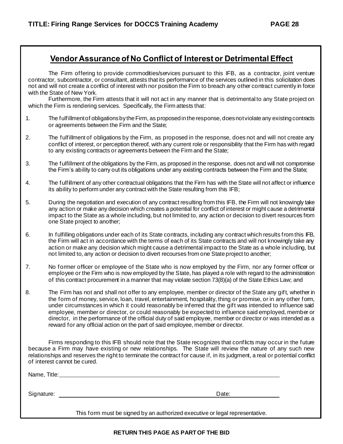# **Vendor Assurance of No Conflict of Interest or Detrimental Effect**

The Firm offering to provide commodities/services pursuant to this IFB, as a contractor, joint venture contractor, subcontractor, or consultant, attests that its performance of the services outlined in this solicitation does not and will not create a conflict of interest with nor position the Firm to breach any other contract currently in force with the State of New York.

Furthermore, the Firm attests that it will not act in any manner that is detrimental to any State project on which the Firm is rendering services. Specifically, the Firm attests that:

- 1. The fulfillment of obligations by the Firm, as proposed in the response, does not violate any existing contracts or agreements between the Firm and the State;
- 2. The fulfillment of obligations by the Firm, as proposed in the response, does not and will not create any conflict of interest, or perception thereof, with any current role or responsibility that the Firm has with regard to any existing contracts or agreements between the Firm and the State;
- 3. The fulfillment of the obligations by the Firm, as proposed in the response, does not and will not compromise the Firm's ability to carry out its obligations under any existing contracts between the Firm and the State;
- 4. The fulfillment of any other contractual obligations that the Firm has with the State will not affect or influence its ability to perform under any contract with the State resulting from this IFB;
- 5. During the negotiation and execution of any contract resulting from this IFB, the Firm will not knowingly take any action or make any decision which creates a potential for conflict of interest or might cause a detrimental impact to the State as a whole including, but not limited to, any action or decision to divert resources from one State project to another;
- 6. In fulfilling obligations under each of its State contracts, including any contract which results from this IFB, the Firm will act in accordance with the terms of each of its State contracts and will not knowingly take any action or make any decision which might cause a detrimental impact to the State as a whole including, but not limited to, any action or decision to divert recourses from one State project to another;
- 7. No former officer or employee of the State who is now employed by the Firm, nor any former officer or employee or the Firm who is now employed by the State, has played a role with regard to the administration of this contract procurement in a manner that may violate section 73(8)(a) of the State Ethics Law; and
- 8. The Firm has not and shall not offer to any employee, member or director of the State any gift, whether in the form of money, service, loan, travel, entertainment, hospitality, thing or promise, or in any other form, under circumstances in which it could reasonably be inferred that the gift was intended to influence said employee, member or director, or could reasonably be expected to influence said employed, member or director, in the performance of the official duty of said employee, member or director or was intended as a reward for any official action on the part of said employee, member or director.

Firms responding to this IFB should note that the State recognizes that conflicts may occur in the future because a Firm may have existing or new relationships. The State will review the nature of any such new relationships and reserves the right to terminate the contract for cause if, in its judgment, a real or potential conflict of interest cannot be cured.

Name, Title: West and Contract the Contract of the Contract of the Contract of the Contract of the Contract of the Contract of the Contract of the Contract of the Contract of the Contract of the Contract of the Contract of

Signature: Date: Development and the state of the state of the state of the Date:

This form must be signed by an authorized executive or legal representative.